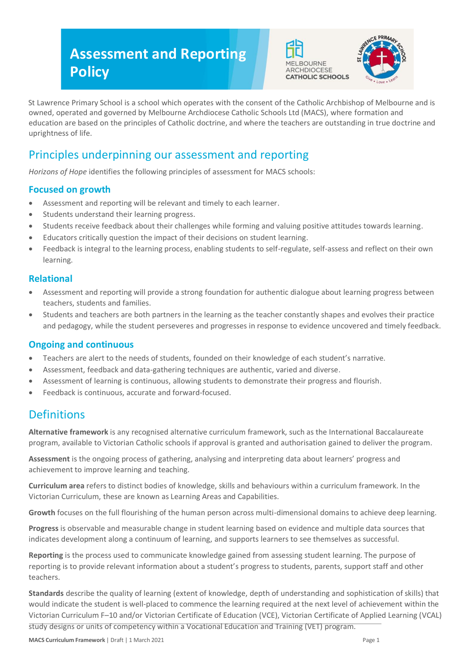# **Assessment and Reporting Policy**





St Lawrence Primary School is a school which operates with the consent of the Catholic Archbishop of Melbourne and is owned, operated and governed by Melbourne Archdiocese Catholic Schools Ltd (MACS), where formation and education are based on the principles of Catholic doctrine, and where the teachers are outstanding in true doctrine and uprightness of life.

# Principles underpinning our assessment and reporting

*Horizons of Hope* identifies the following principles of assessment for MACS schools:

### **Focused on growth**

- Assessment and reporting will be relevant and timely to each learner.
- Students understand their learning progress.
- Students receive feedback about their challenges while forming and valuing positive attitudes towards learning.
- Educators critically question the impact of their decisions on student learning.
- Feedback is integral to the learning process, enabling students to self-regulate, self-assess and reflect on their own learning.

#### **Relational**

- Assessment and reporting will provide a strong foundation for authentic dialogue about learning progress between teachers, students and families.
- Students and teachers are both partners in the learning as the teacher constantly shapes and evolves their practice and pedagogy, while the student perseveres and progresses in response to evidence uncovered and timely feedback.

#### **Ongoing and continuous**

- Teachers are alert to the needs of students, founded on their knowledge of each student's narrative.
- Assessment, feedback and data-gathering techniques are authentic, varied and diverse.
- Assessment of learning is continuous, allowing students to demonstrate their progress and flourish.
- Feedback is continuous, accurate and forward-focused.

# **Definitions**

**Alternative framework** is any recognised alternative curriculum framework, such as the International Baccalaureate program, available to Victorian Catholic schools if approval is granted and authorisation gained to deliver the program.

**Assessment** is the ongoing process of gathering, analysing and interpreting data about learners' progress and achievement to improve learning and teaching.

**Curriculum area** refers to distinct bodies of knowledge, skills and behaviours within a curriculum framework. In the Victorian Curriculum, these are known as Learning Areas and Capabilities.

**Growth** focuses on the full flourishing of the human person across multi-dimensional domains to achieve deep learning.

**Progress** is observable and measurable change in student learning based on evidence and multiple data sources that indicates development along a continuum of learning, and supports learners to see themselves as successful.

**Reporting** is the process used to communicate knowledge gained from assessing student learning. The purpose of reporting is to provide relevant information about a student's progress to students, parents, support staff and other teachers.

**Standards** describe the quality of learning (extent of knowledge, depth of understanding and sophistication of skills) that would indicate the student is well-placed to commence the learning required at the next level of achievement within the Victorian Curriculum F–10 and/or Victorian Certificate of Education (VCE), Victorian Certificate of Applied Learning (VCAL) study designs or units of competency within a Vocational Education and Training (VET) program.